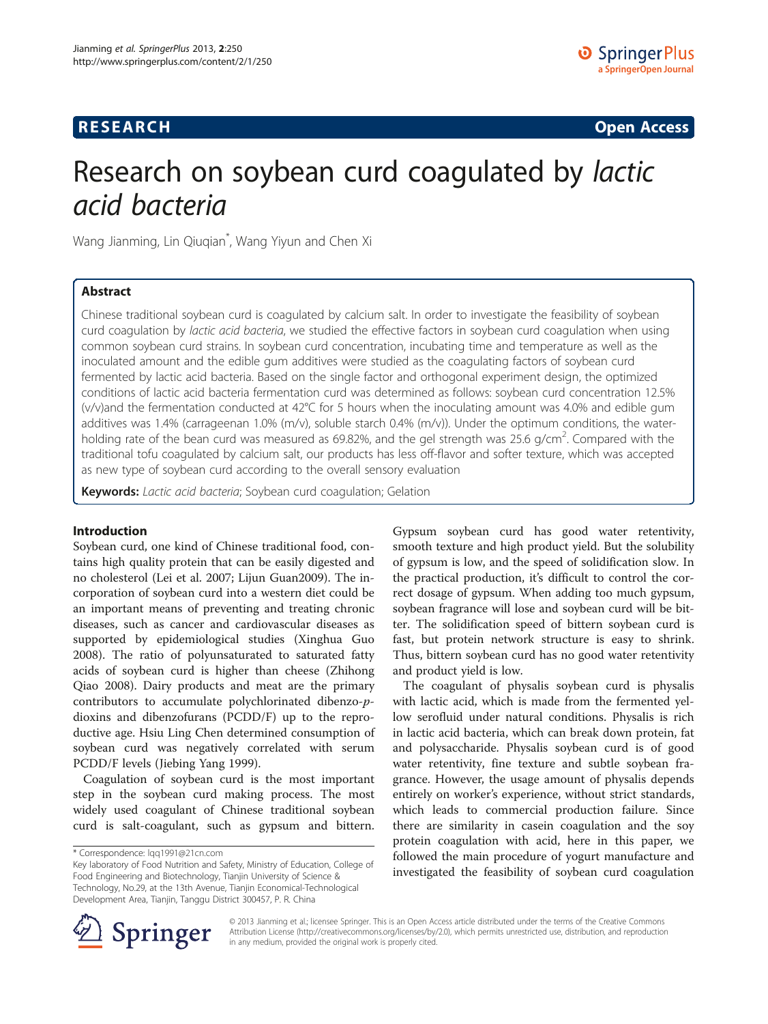# **RESEARCH CHINESE ARCH CHINESE ARCH CHINESE ARCH <b>CHINESE ARCH**

# Research on soybean curd coagulated by lactic acid bacteria

Wang Jianming, Lin Qiuqian\* , Wang Yiyun and Chen Xi

# Abstract

Chinese traditional soybean curd is coagulated by calcium salt. In order to investigate the feasibility of soybean curd coagulation by lactic acid bacteria, we studied the effective factors in soybean curd coagulation when using common soybean curd strains. In soybean curd concentration, incubating time and temperature as well as the inoculated amount and the edible gum additives were studied as the coagulating factors of soybean curd fermented by lactic acid bacteria. Based on the single factor and orthogonal experiment design, the optimized conditions of lactic acid bacteria fermentation curd was determined as follows: soybean curd concentration 12.5% (v/v)and the fermentation conducted at 42°C for 5 hours when the inoculating amount was 4.0% and edible gum additives was 1.4% (carrageenan 1.0% (m/v), soluble starch 0.4% (m/v)). Under the optimum conditions, the waterholding rate of the bean curd was measured as 69.82%, and the gel strength was 25.6 g/cm<sup>2</sup>. Compared with the traditional tofu coagulated by calcium salt, our products has less off-flavor and softer texture, which was accepted as new type of soybean curd according to the overall sensory evaluation

Keywords: Lactic acid bacteria; Soybean curd coagulation; Gelation

# Introduction

Soybean curd, one kind of Chinese traditional food, contains high quality protein that can be easily digested and no cholesterol (Lei et al. [2007](#page-9-0); Lijun Guan[2009](#page-8-0)). The incorporation of soybean curd into a western diet could be an important means of preventing and treating chronic diseases, such as cancer and cardiovascular diseases as supported by epidemiological studies (Xinghua Guo [2008](#page-9-0)). The ratio of polyunsaturated to saturated fatty acids of soybean curd is higher than cheese (Zhihong Qiao [2008\)](#page-9-0). Dairy products and meat are the primary contributors to accumulate polychlorinated dibenzo-pdioxins and dibenzofurans (PCDD/F) up to the reproductive age. Hsiu Ling Chen determined consumption of soybean curd was negatively correlated with serum PCDD/F levels (Jiebing Yang [1999\)](#page-9-0).

Coagulation of soybean curd is the most important step in the soybean curd making process. The most widely used coagulant of Chinese traditional soybean curd is salt-coagulant, such as gypsum and bittern.

Gypsum soybean curd has good water retentivity, smooth texture and high product yield. But the solubility of gypsum is low, and the speed of solidification slow. In the practical production, it's difficult to control the correct dosage of gypsum. When adding too much gypsum, soybean fragrance will lose and soybean curd will be bitter. The solidification speed of bittern soybean curd is fast, but protein network structure is easy to shrink. Thus, bittern soybean curd has no good water retentivity and product yield is low.

The coagulant of physalis soybean curd is physalis with lactic acid, which is made from the fermented yellow serofluid under natural conditions. Physalis is rich in lactic acid bacteria, which can break down protein, fat and polysaccharide. Physalis soybean curd is of good water retentivity, fine texture and subtle soybean fragrance. However, the usage amount of physalis depends entirely on worker's experience, without strict standards, which leads to commercial production failure. Since there are similarity in casein coagulation and the soy protein coagulation with acid, here in this paper, we followed the main procedure of yogurt manufacture and investigated the feasibility of soybean curd coagulation



© 2013 Jianming et al.; licensee Springer. This is an Open Access article distributed under the terms of the Creative Commons Attribution License [\(http://creativecommons.org/licenses/by/2.0\)](http://creativecommons.org/licenses/by/2.0), which permits unrestricted use, distribution, and reproduction in any medium, provided the original work is properly cited.

<sup>\*</sup> Correspondence: [lqq1991@21cn.com](mailto:lqq1991@21cn.com)

Key laboratory of Food Nutrition and Safety, Ministry of Education, College of Food Engineering and Biotechnology, Tianjin University of Science & Technology, No.29, at the 13th Avenue, Tianjin Economical-Technological Development Area, Tianjin, Tanggu District 300457, P. R. China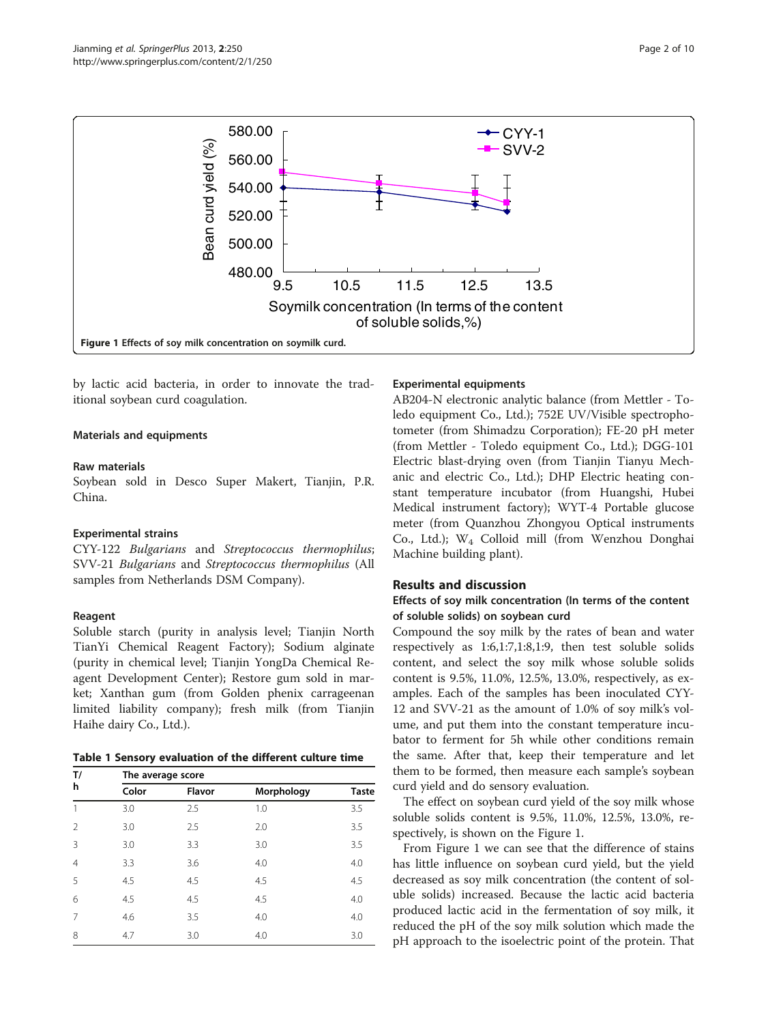<span id="page-1-0"></span>

by lactic acid bacteria, in order to innovate the traditional soybean curd coagulation.

# Materials and equipments

# Raw materials

Soybean sold in Desco Super Makert, Tianjin, P.R. China.

# Experimental strains

CYY-122 Bulgarians and Streptococcus thermophilus; SVV-21 Bulgarians and Streptococcus thermophilus (All samples from Netherlands DSM Company).

# Reagent

Soluble starch (purity in analysis level; Tianjin North TianYi Chemical Reagent Factory); Sodium alginate (purity in chemical level; Tianjin YongDa Chemical Reagent Development Center); Restore gum sold in market; Xanthan gum (from Golden phenix carrageenan limited liability company); fresh milk (from Tianjin Haihe dairy Co., Ltd.).

|  |  | Table 1 Sensory evaluation of the different culture time |  |  |  |  |
|--|--|----------------------------------------------------------|--|--|--|--|
|--|--|----------------------------------------------------------|--|--|--|--|

| T/             | The average score |        |            |              |  |  |  |
|----------------|-------------------|--------|------------|--------------|--|--|--|
| h              | Color             | Flavor | Morphology | <b>Taste</b> |  |  |  |
| 1              | 3.0               | 2.5    | 1.0        | 3.5          |  |  |  |
| $\mathfrak{D}$ | 3.0               | 2.5    | 2.0        | 3.5          |  |  |  |
| 3              | 3.0               | 3.3    | 3.0        | 3.5          |  |  |  |
| $\overline{4}$ | 3.3               | 3.6    | 4.0        | 4.0          |  |  |  |
| 5              | 4.5               | 4.5    | 4.5        | 4.5          |  |  |  |
| 6              | 4.5               | 4.5    | 4.5        | 4.0          |  |  |  |
| 7              | 4.6               | 3.5    | 4.0        | 4.0          |  |  |  |
| 8              | 4.7               | 3.0    | 4.0        | 3.0          |  |  |  |

# Experimental equipments

AB204-N electronic analytic balance (from Mettler - Toledo equipment Co., Ltd.); 752E UV/Visible spectrophotometer (from Shimadzu Corporation); FE-20 pH meter (from Mettler - Toledo equipment Co., Ltd.); DGG-101 Electric blast-drying oven (from Tianjin Tianyu Mechanic and electric Co., Ltd.); DHP Electric heating constant temperature incubator (from Huangshi, Hubei Medical instrument factory); WYT-4 Portable glucose meter (from Quanzhou Zhongyou Optical instruments Co., Ltd.); W4 Colloid mill (from Wenzhou Donghai Machine building plant).

# Results and discussion

# Effects of soy milk concentration (In terms of the content of soluble solids) on soybean curd

Compound the soy milk by the rates of bean and water respectively as 1:6,1:7,1:8,1:9, then test soluble solids content, and select the soy milk whose soluble solids content is 9.5%, 11.0%, 12.5%, 13.0%, respectively, as examples. Each of the samples has been inoculated CYY-12 and SVV-21 as the amount of 1.0% of soy milk's volume, and put them into the constant temperature incubator to ferment for 5h while other conditions remain the same. After that, keep their temperature and let them to be formed, then measure each sample's soybean curd yield and do sensory evaluation.

The effect on soybean curd yield of the soy milk whose soluble solids content is 9.5%, 11.0%, 12.5%, 13.0%, respectively, is shown on the Figure 1.

From Figure 1 we can see that the difference of stains has little influence on soybean curd yield, but the yield decreased as soy milk concentration (the content of soluble solids) increased. Because the lactic acid bacteria produced lactic acid in the fermentation of soy milk, it reduced the pH of the soy milk solution which made the pH approach to the isoelectric point of the protein. That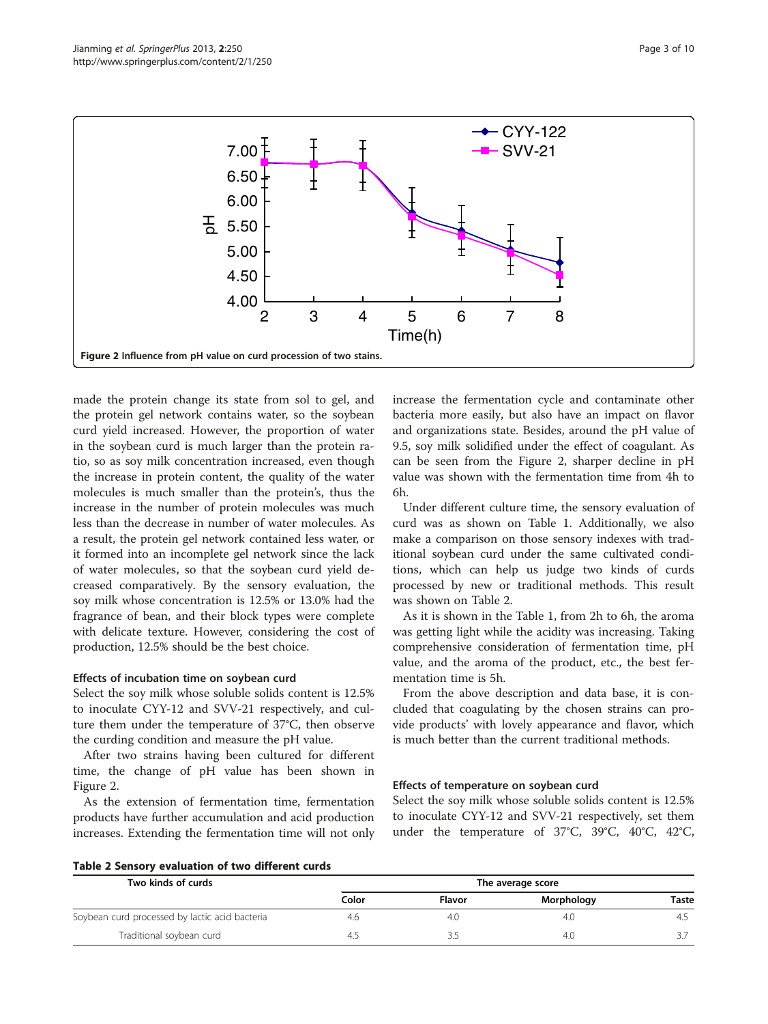

made the protein change its state from sol to gel, and the protein gel network contains water, so the soybean curd yield increased. However, the proportion of water in the soybean curd is much larger than the protein ratio, so as soy milk concentration increased, even though the increase in protein content, the quality of the water molecules is much smaller than the protein's, thus the increase in the number of protein molecules was much less than the decrease in number of water molecules. As a result, the protein gel network contained less water, or it formed into an incomplete gel network since the lack of water molecules, so that the soybean curd yield decreased comparatively. By the sensory evaluation, the soy milk whose concentration is 12.5% or 13.0% had the fragrance of bean, and their block types were complete with delicate texture. However, considering the cost of production, 12.5% should be the best choice.

# Effects of incubation time on soybean curd

Select the soy milk whose soluble solids content is 12.5% to inoculate CYY-12 and SVV-21 respectively, and culture them under the temperature of 37°C, then observe the curding condition and measure the pH value.

After two strains having been cultured for different time, the change of pH value has been shown in Figure 2.

As the extension of fermentation time, fermentation products have further accumulation and acid production increases. Extending the fermentation time will not only increase the fermentation cycle and contaminate other bacteria more easily, but also have an impact on flavor and organizations state. Besides, around the pH value of 9.5, soy milk solidified under the effect of coagulant. As can be seen from the Figure 2, sharper decline in pH value was shown with the fermentation time from 4h to 6h.

Under different culture time, the sensory evaluation of curd was as shown on Table [1.](#page-1-0) Additionally, we also make a comparison on those sensory indexes with traditional soybean curd under the same cultivated conditions, which can help us judge two kinds of curds processed by new or traditional methods. This result was shown on Table 2.

As it is shown in the Table [1,](#page-1-0) from 2h to 6h, the aroma was getting light while the acidity was increasing. Taking comprehensive consideration of fermentation time, pH value, and the aroma of the product, etc., the best fermentation time is 5h.

From the above description and data base, it is concluded that coagulating by the chosen strains can provide products' with lovely appearance and flavor, which is much better than the current traditional methods.

# Effects of temperature on soybean curd

Select the soy milk whose soluble solids content is 12.5% to inoculate CYY-12 and SVV-21 respectively, set them under the temperature of 37°C, 39°C, 40°C, 42°C,

|  |  | Table 2 Sensory evaluation of two different curds |  |  |  |
|--|--|---------------------------------------------------|--|--|--|
|--|--|---------------------------------------------------|--|--|--|

| Two kinds of curds                             | The average score |        |            |       |  |  |
|------------------------------------------------|-------------------|--------|------------|-------|--|--|
|                                                | Color             | Flavor | Morphology | Taste |  |  |
| Soybean curd processed by lactic acid bacteria | 4.6               | 4.0    | 4.0        | 4.    |  |  |
| Traditional soybean curd                       | 4.5               |        | 4.0        |       |  |  |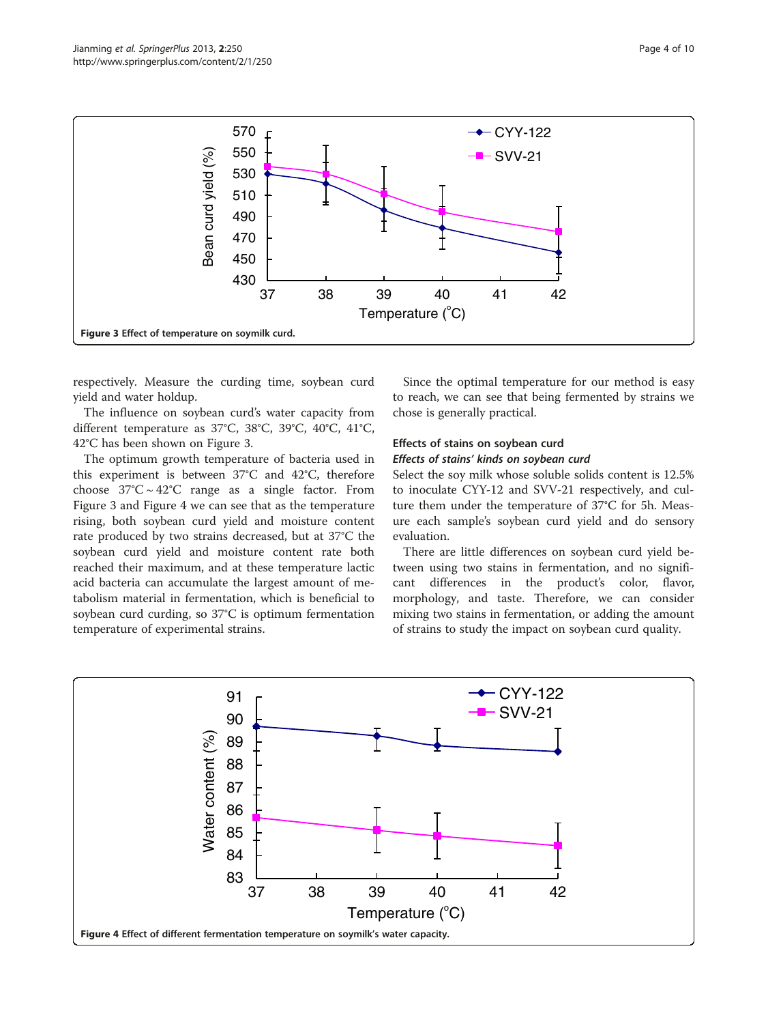

respectively. Measure the curding time, soybean curd yield and water holdup.

The influence on soybean curd's water capacity from different temperature as 37°C, 38°C, 39°C, 40°C, 41°C, 42°C has been shown on Figure 3.

The optimum growth temperature of bacteria used in this experiment is between 37°C and 42°C, therefore choose  $37^{\circ}$ C ~  $42^{\circ}$ C range as a single factor. From Figure 3 and Figure 4 we can see that as the temperature rising, both soybean curd yield and moisture content rate produced by two strains decreased, but at 37°C the soybean curd yield and moisture content rate both reached their maximum, and at these temperature lactic acid bacteria can accumulate the largest amount of metabolism material in fermentation, which is beneficial to soybean curd curding, so 37°C is optimum fermentation temperature of experimental strains.

Since the optimal temperature for our method is easy to reach, we can see that being fermented by strains we chose is generally practical.

# Effects of stains on soybean curd Effects of stains' kinds on soybean curd

Select the soy milk whose soluble solids content is 12.5% to inoculate CYY-12 and SVV-21 respectively, and culture them under the temperature of 37°C for 5h. Measure each sample's soybean curd yield and do sensory evaluation.

There are little differences on soybean curd yield between using two stains in fermentation, and no significant differences in the product's color, flavor, morphology, and taste. Therefore, we can consider mixing two stains in fermentation, or adding the amount of strains to study the impact on soybean curd quality.

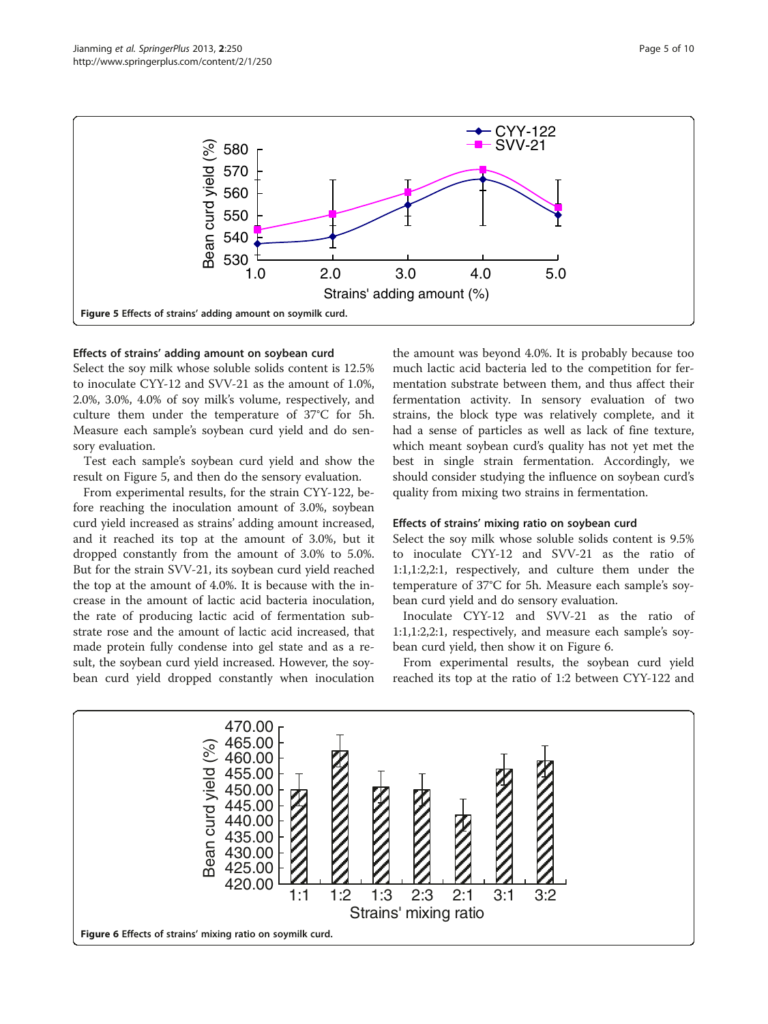

# Effects of strains' adding amount on soybean curd

Select the soy milk whose soluble solids content is 12.5% to inoculate CYY-12 and SVV-21 as the amount of 1.0%, 2.0%, 3.0%, 4.0% of soy milk's volume, respectively, and culture them under the temperature of 37°C for 5h. Measure each sample's soybean curd yield and do sensory evaluation.

Test each sample's soybean curd yield and show the result on Figure 5, and then do the sensory evaluation.

From experimental results, for the strain CYY-122, before reaching the inoculation amount of 3.0%, soybean curd yield increased as strains' adding amount increased, and it reached its top at the amount of 3.0%, but it dropped constantly from the amount of 3.0% to 5.0%. But for the strain SVV-21, its soybean curd yield reached the top at the amount of 4.0%. It is because with the increase in the amount of lactic acid bacteria inoculation, the rate of producing lactic acid of fermentation substrate rose and the amount of lactic acid increased, that made protein fully condense into gel state and as a result, the soybean curd yield increased. However, the soybean curd yield dropped constantly when inoculation

the amount was beyond 4.0%. It is probably because too much lactic acid bacteria led to the competition for fermentation substrate between them, and thus affect their fermentation activity. In sensory evaluation of two strains, the block type was relatively complete, and it had a sense of particles as well as lack of fine texture, which meant soybean curd's quality has not yet met the best in single strain fermentation. Accordingly, we should consider studying the influence on soybean curd's quality from mixing two strains in fermentation.

# Effects of strains' mixing ratio on soybean curd

Select the soy milk whose soluble solids content is 9.5% to inoculate CYY-12 and SVV-21 as the ratio of 1:1,1:2,2:1, respectively, and culture them under the temperature of 37°C for 5h. Measure each sample's soybean curd yield and do sensory evaluation.

Inoculate CYY-12 and SVV-21 as the ratio of 1:1,1:2,2:1, respectively, and measure each sample's soybean curd yield, then show it on Figure 6.

From experimental results, the soybean curd yield reached its top at the ratio of 1:2 between CYY-122 and

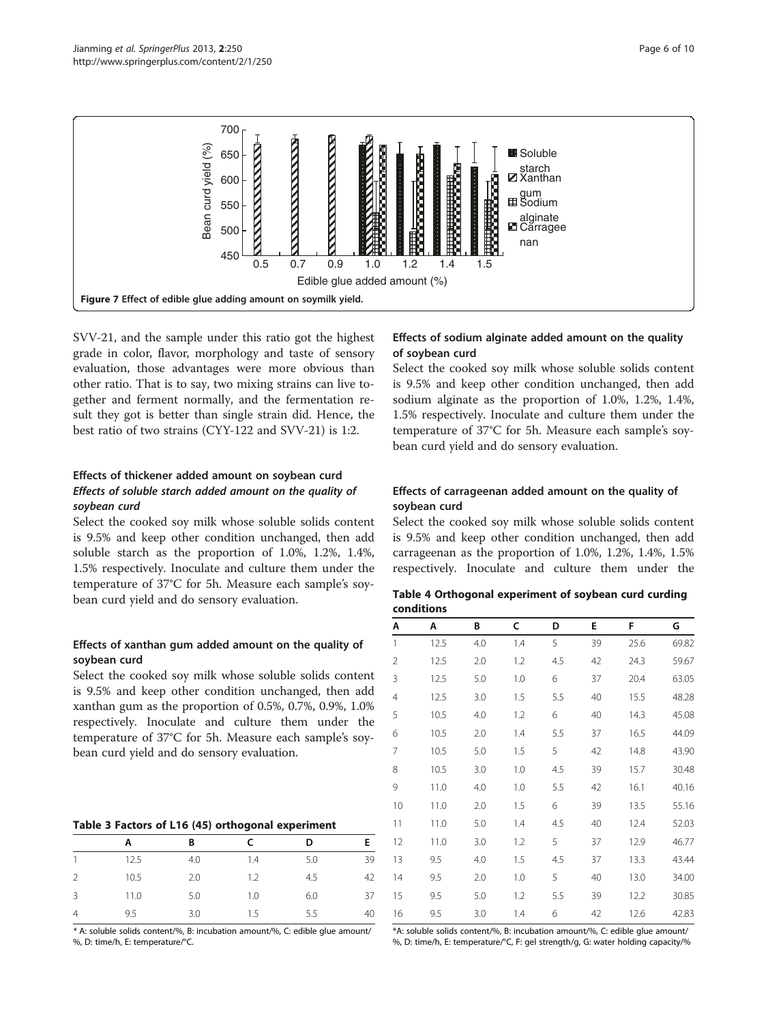<span id="page-5-0"></span>

SVV-21, and the sample under this ratio got the highest grade in color, flavor, morphology and taste of sensory evaluation, those advantages were more obvious than other ratio. That is to say, two mixing strains can live together and ferment normally, and the fermentation result they got is better than single strain did. Hence, the best ratio of two strains (CYY-122 and SVV-21) is 1:2.

# Effects of thickener added amount on soybean curd Effects of soluble starch added amount on the quality of soybean curd

Select the cooked soy milk whose soluble solids content is 9.5% and keep other condition unchanged, then add soluble starch as the proportion of 1.0%, 1.2%, 1.4%, 1.5% respectively. Inoculate and culture them under the temperature of 37°C for 5h. Measure each sample's soybean curd yield and do sensory evaluation.

# Effects of xanthan gum added amount on the quality of soybean curd

Select the cooked soy milk whose soluble solids content is 9.5% and keep other condition unchanged, then add xanthan gum as the proportion of 0.5%, 0.7%, 0.9%, 1.0% respectively. Inoculate and culture them under the temperature of 37°C for 5h. Measure each sample's soybean curd yield and do sensory evaluation.

# Table 3 Factors of L16 (45) orthogonal experiment

|                | А    | B   |     | D   |    |
|----------------|------|-----|-----|-----|----|
|                |      |     |     |     |    |
|                | 12.5 | 4.0 | 1.4 | 5.0 | 39 |
| 2              | 10.5 | 2.0 | 1.2 | 4.5 | 42 |
| 3              | 11.0 | 5.0 | 1.0 | 6.0 | 37 |
| $\overline{4}$ | 9.5  | 3.0 | 1.5 | 5.5 | 40 |

\* A: soluble solids content/%, B: incubation amount/%, C: edible glue amount/ %, D: time/h, E: temperature/°C.

# Effects of sodium alginate added amount on the quality of soybean curd

Select the cooked soy milk whose soluble solids content is 9.5% and keep other condition unchanged, then add sodium alginate as the proportion of 1.0%, 1.2%, 1.4%, 1.5% respectively. Inoculate and culture them under the temperature of 37°C for 5h. Measure each sample's soybean curd yield and do sensory evaluation.

# Effects of carrageenan added amount on the quality of soybean curd

Select the cooked soy milk whose soluble solids content is 9.5% and keep other condition unchanged, then add carrageenan as the proportion of 1.0%, 1.2%, 1.4%, 1.5% respectively. Inoculate and culture them under the

| Table 4 Orthogonal experiment of soybean curd curding |  |  |  |
|-------------------------------------------------------|--|--|--|
| conditions                                            |  |  |  |

| Α              | Α    | В   | c   | D   | E  | F    | G     |
|----------------|------|-----|-----|-----|----|------|-------|
| $\mathbf{1}$   | 12.5 | 4.0 | 1.4 | 5   | 39 | 25.6 | 69.82 |
| $\overline{2}$ | 12.5 | 2.0 | 1.2 | 4.5 | 42 | 24.3 | 59.67 |
| 3              | 12.5 | 5.0 | 1.0 | 6   | 37 | 20.4 | 63.05 |
| 4              | 12.5 | 3.0 | 1.5 | 5.5 | 40 | 15.5 | 48.28 |
| 5              | 10.5 | 4.0 | 1.2 | 6   | 40 | 14.3 | 45.08 |
| 6              | 10.5 | 2.0 | 1.4 | 5.5 | 37 | 16.5 | 44.09 |
| 7              | 10.5 | 5.0 | 1.5 | 5   | 42 | 14.8 | 43.90 |
| 8              | 10.5 | 3.0 | 1.0 | 4.5 | 39 | 15.7 | 30.48 |
| 9              | 11.0 | 4.0 | 1.0 | 5.5 | 42 | 16.1 | 40.16 |
| 10             | 11.0 | 2.0 | 1.5 | 6   | 39 | 13.5 | 55.16 |
| 11             | 11.0 | 5.0 | 1.4 | 4.5 | 40 | 12.4 | 52.03 |
| 12             | 11.0 | 3.0 | 1.2 | 5   | 37 | 12.9 | 46.77 |
| 13             | 9.5  | 4.0 | 1.5 | 4.5 | 37 | 13.3 | 43.44 |
| 14             | 9.5  | 2.0 | 1.0 | 5   | 40 | 13.0 | 34.00 |
| 15             | 9.5  | 5.0 | 1.2 | 5.5 | 39 | 12.2 | 30.85 |
| 16             | 9.5  | 3.0 | 1.4 | 6   | 42 | 12.6 | 42.83 |

\*A: soluble solids content/%, B: incubation amount/%, C: edible glue amount/ %, D: time/h, E: temperature/°C, F: gel strength/g, G: water holding capacity/%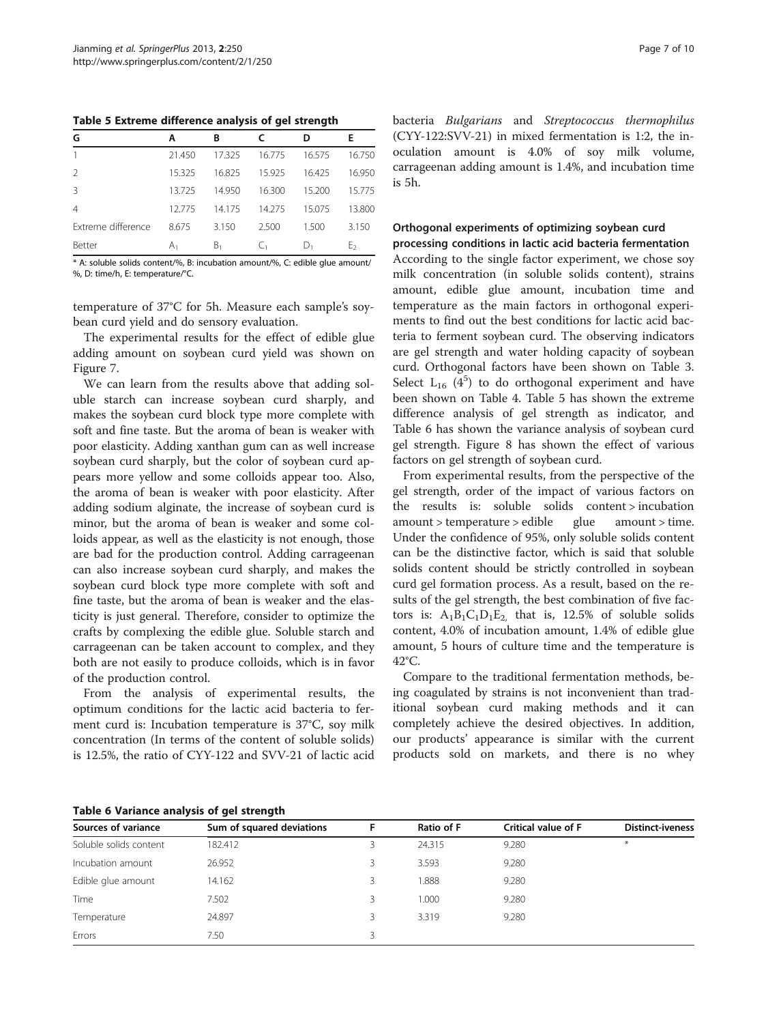Table 5 Extreme difference analysis of gel strength

| G                  | А      | B      |        | D      | Е      |
|--------------------|--------|--------|--------|--------|--------|
|                    | 21.450 | 17.325 | 16.775 | 16.575 | 16.750 |
| 2                  | 15.325 | 16.825 | 15.925 | 16.425 | 16.950 |
| 3                  | 13725  | 14.950 | 16.300 | 15.200 | 15.775 |
| $\overline{4}$     | 12775  | 14175  | 14.275 | 15.075 | 13.800 |
| Extreme difference | 8.675  | 3.150  | 2.500  | 1.500  | 3.150  |
| Better             | А,     | В,     |        | ۱).    | Ŀ٥     |

\* A: soluble solids content/%, B: incubation amount/%, C: edible glue amount/ %, D: time/h, E: temperature/°C.

temperature of 37°C for 5h. Measure each sample's soybean curd yield and do sensory evaluation.

The experimental results for the effect of edible glue adding amount on soybean curd yield was shown on Figure [7](#page-5-0).

We can learn from the results above that adding soluble starch can increase soybean curd sharply, and makes the soybean curd block type more complete with soft and fine taste. But the aroma of bean is weaker with poor elasticity. Adding xanthan gum can as well increase soybean curd sharply, but the color of soybean curd appears more yellow and some colloids appear too. Also, the aroma of bean is weaker with poor elasticity. After adding sodium alginate, the increase of soybean curd is minor, but the aroma of bean is weaker and some colloids appear, as well as the elasticity is not enough, those are bad for the production control. Adding carrageenan can also increase soybean curd sharply, and makes the soybean curd block type more complete with soft and fine taste, but the aroma of bean is weaker and the elasticity is just general. Therefore, consider to optimize the crafts by complexing the edible glue. Soluble starch and carrageenan can be taken account to complex, and they both are not easily to produce colloids, which is in favor of the production control.

From the analysis of experimental results, the optimum conditions for the lactic acid bacteria to ferment curd is: Incubation temperature is 37°C, soy milk concentration (In terms of the content of soluble solids) is 12.5%, the ratio of CYY-122 and SVV-21 of lactic acid bacteria Bulgarians and Streptococcus thermophilus (CYY-122:SVV-21) in mixed fermentation is 1:2, the inoculation amount is 4.0% of soy milk volume, carrageenan adding amount is 1.4%, and incubation time is 5h.

# Orthogonal experiments of optimizing soybean curd

processing conditions in lactic acid bacteria fermentation According to the single factor experiment, we chose soy milk concentration (in soluble solids content), strains amount, edible glue amount, incubation time and temperature as the main factors in orthogonal experiments to find out the best conditions for lactic acid bacteria to ferment soybean curd. The observing indicators are gel strength and water holding capacity of soybean curd. Orthogonal factors have been shown on Table [3](#page-5-0). Select  $L_{16}$  ( $4^5$ ) to do orthogonal experiment and have been shown on Table [4](#page-5-0). Table 5 has shown the extreme difference analysis of gel strength as indicator, and Table 6 has shown the variance analysis of soybean curd gel strength. Figure [8](#page-7-0) has shown the effect of various factors on gel strength of soybean curd.

From experimental results, from the perspective of the gel strength, order of the impact of various factors on the results is: soluble solids content > incubation amount > temperature > edible glue amount > time. Under the confidence of 95%, only soluble solids content can be the distinctive factor, which is said that soluble solids content should be strictly controlled in soybean curd gel formation process. As a result, based on the results of the gel strength, the best combination of five factors is:  $A_1B_1C_1D_1E_2$ , that is, 12.5% of soluble solids content, 4.0% of incubation amount, 1.4% of edible glue amount, 5 hours of culture time and the temperature is 42°C.

Compare to the traditional fermentation methods, being coagulated by strains is not inconvenient than traditional soybean curd making methods and it can completely achieve the desired objectives. In addition, our products' appearance is similar with the current products sold on markets, and there is no whey

Table 6 Variance analysis of gel strength

| rasis o ramanes anarjois or ger su engen |                           |   |            |                     |                         |  |  |
|------------------------------------------|---------------------------|---|------------|---------------------|-------------------------|--|--|
| Sources of variance                      | Sum of squared deviations |   | Ratio of F | Critical value of F | <b>Distinct-iveness</b> |  |  |
| Soluble solids content                   | 182.412                   |   | 24.315     | 9.280               | $*$                     |  |  |
| Incubation amount                        | 26.952                    |   | 3.593      | 9.280               |                         |  |  |
| Edible glue amount                       | 14.162                    |   | 1.888      | 9.280               |                         |  |  |
| Time                                     | 7.502                     |   | 1.000      | 9.280               |                         |  |  |
| Temperature                              | 24.897                    | ζ | 3.319      | 9.280               |                         |  |  |
| Errors                                   | 7.50                      |   |            |                     |                         |  |  |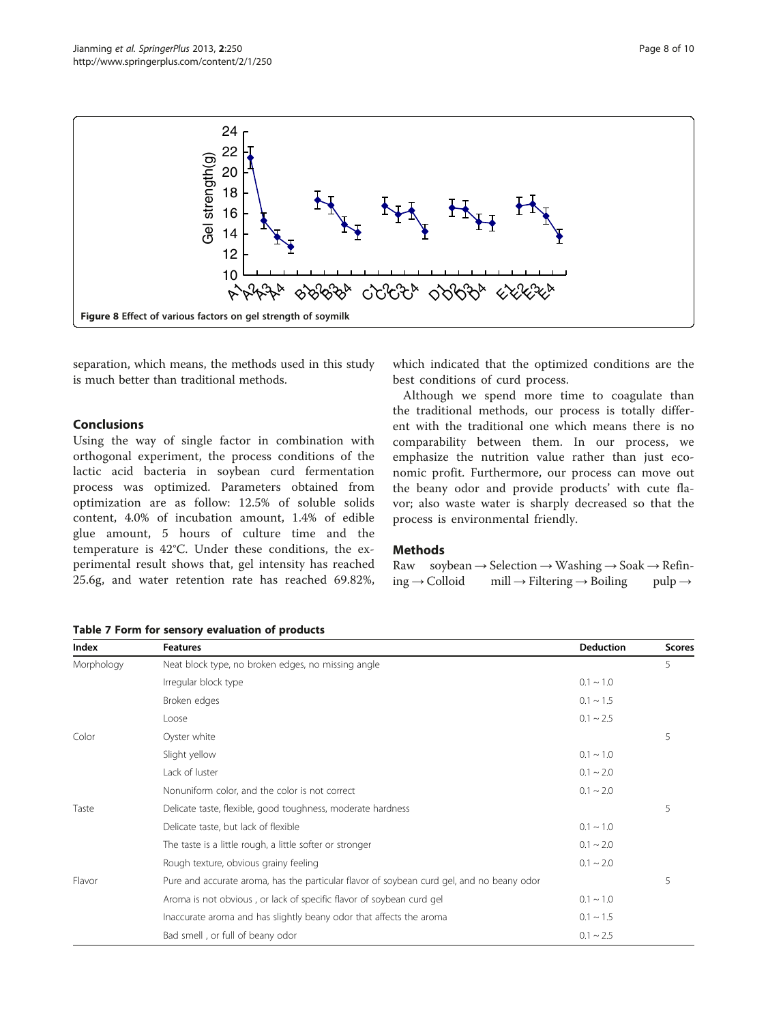<span id="page-7-0"></span>

separation, which means, the methods used in this study is much better than traditional methods.

# Conclusions

Using the way of single factor in combination with orthogonal experiment, the process conditions of the lactic acid bacteria in soybean curd fermentation process was optimized. Parameters obtained from optimization are as follow: 12.5% of soluble solids content, 4.0% of incubation amount, 1.4% of edible glue amount, 5 hours of culture time and the temperature is 42°C. Under these conditions, the experimental result shows that, gel intensity has reached 25.6g, and water retention rate has reached 69.82%,

which indicated that the optimized conditions are the best conditions of curd process.

Although we spend more time to coagulate than the traditional methods, our process is totally different with the traditional one which means there is no comparability between them. In our process, we emphasize the nutrition value rather than just economic profit. Furthermore, our process can move out the beany odor and provide products' with cute flavor; also waste water is sharply decreased so that the process is environmental friendly.

# **Methods**

|                           | Raw soybean $\rightarrow$ Selection $\rightarrow$ Washing $\rightarrow$ Soak $\rightarrow$ Refin- |                    |
|---------------------------|---------------------------------------------------------------------------------------------------|--------------------|
| $ing \rightarrow$ Colloid | $mill \rightarrow Filtering \rightarrow B oiling$                                                 | $pulp \rightarrow$ |

| Table 7 Form for sensory evaluation of products |  |  |  |
|-------------------------------------------------|--|--|--|
|-------------------------------------------------|--|--|--|

| Index      | <b>Features</b>                                                                           | <b>Deduction</b> | <b>Scores</b> |
|------------|-------------------------------------------------------------------------------------------|------------------|---------------|
| Morphology | Neat block type, no broken edges, no missing angle                                        |                  | 5             |
|            | Irregular block type                                                                      | $0.1 \sim 1.0$   |               |
|            | Broken edges                                                                              | $0.1 \sim 1.5$   |               |
|            | Loose                                                                                     | $0.1 \sim 2.5$   |               |
| Color      | Oyster white                                                                              |                  | 5             |
|            | Slight yellow                                                                             | $0.1 \sim 1.0$   |               |
|            | Lack of luster                                                                            | $0.1 \sim 2.0$   |               |
|            | Nonuniform color, and the color is not correct                                            | $0.1 \sim 2.0$   |               |
| Taste      | Delicate taste, flexible, good toughness, moderate hardness                               |                  | 5             |
|            | Delicate taste, but lack of flexible                                                      | $0.1 \sim 1.0$   |               |
|            | The taste is a little rough, a little softer or stronger                                  | $0.1 \sim 2.0$   |               |
|            | Rough texture, obvious grainy feeling                                                     | $0.1 \sim 2.0$   |               |
| Flavor     | Pure and accurate aroma, has the particular flavor of soybean curd gel, and no beany odor |                  | 5             |
|            | Aroma is not obvious, or lack of specific flavor of soybean curd gel                      | $0.1 \sim 1.0$   |               |
|            | Inaccurate aroma and has slightly beany odor that affects the aroma                       | $0.1 \sim 1.5$   |               |
|            | Bad smell, or full of beany odor                                                          | $0.1 \sim 2.5$   |               |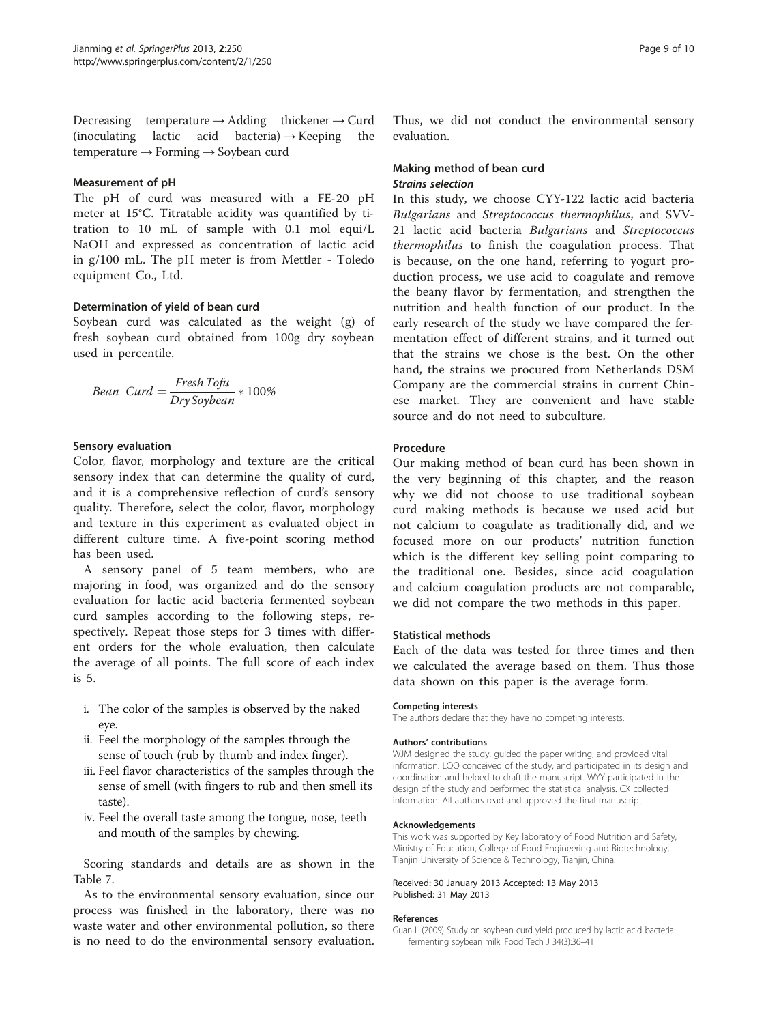<span id="page-8-0"></span>Decreasing temperature  $\rightarrow$  Adding thickener  $\rightarrow$  Curd (inoculating lactic acid bacteria)  $\rightarrow$  Keeping the temperature → Forming → Soybean curd

# Measurement of pH

The pH of curd was measured with a FE-20 pH meter at 15°C. Titratable acidity was quantified by titration to 10 mL of sample with 0.1 mol equi/L NaOH and expressed as concentration of lactic acid in g/100 mL. The pH meter is from Mettler - Toledo equipment Co., Ltd.

# Determination of yield of bean curd

Soybean curd was calculated as the weight (g) of fresh soybean curd obtained from 100g dry soybean used in percentile.

Bean 
$$
Curd = \frac{Fresh\,Tofu}{Dry\,Soybean} * 100\%
$$

# Sensory evaluation

Color, flavor, morphology and texture are the critical sensory index that can determine the quality of curd, and it is a comprehensive reflection of curd's sensory quality. Therefore, select the color, flavor, morphology and texture in this experiment as evaluated object in different culture time. A five-point scoring method has been used.

A sensory panel of 5 team members, who are majoring in food, was organized and do the sensory evaluation for lactic acid bacteria fermented soybean curd samples according to the following steps, respectively. Repeat those steps for 3 times with different orders for the whole evaluation, then calculate the average of all points. The full score of each index is 5.

- i. The color of the samples is observed by the naked eye.
- ii. Feel the morphology of the samples through the sense of touch (rub by thumb and index finger).
- iii. Feel flavor characteristics of the samples through the sense of smell (with fingers to rub and then smell its taste).
- iv. Feel the overall taste among the tongue, nose, teeth and mouth of the samples by chewing.

Scoring standards and details are as shown in the Table [7.](#page-7-0)

As to the environmental sensory evaluation, since our process was finished in the laboratory, there was no waste water and other environmental pollution, so there is no need to do the environmental sensory evaluation. Thus, we did not conduct the environmental sensory evaluation.

# Making method of bean curd Strains selection

In this study, we choose CYY-122 lactic acid bacteria Bulgarians and Streptococcus thermophilus, and SVV-21 lactic acid bacteria Bulgarians and Streptococcus thermophilus to finish the coagulation process. That is because, on the one hand, referring to yogurt production process, we use acid to coagulate and remove the beany flavor by fermentation, and strengthen the nutrition and health function of our product. In the early research of the study we have compared the fermentation effect of different strains, and it turned out that the strains we chose is the best. On the other hand, the strains we procured from Netherlands DSM Company are the commercial strains in current Chinese market. They are convenient and have stable source and do not need to subculture.

# **Procedure**

Our making method of bean curd has been shown in the very beginning of this chapter, and the reason why we did not choose to use traditional soybean curd making methods is because we used acid but not calcium to coagulate as traditionally did, and we focused more on our products' nutrition function which is the different key selling point comparing to the traditional one. Besides, since acid coagulation and calcium coagulation products are not comparable, we did not compare the two methods in this paper.

# Statistical methods

Each of the data was tested for three times and then we calculated the average based on them. Thus those data shown on this paper is the average form.

#### Competing interests

The authors declare that they have no competing interests.

## Authors' contributions

WJM designed the study, guided the paper writing, and provided vital information. LQQ conceived of the study, and participated in its design and coordination and helped to draft the manuscript. WYY participated in the design of the study and performed the statistical analysis. CX collected information. All authors read and approved the final manuscript.

#### Acknowledgements

This work was supported by Key laboratory of Food Nutrition and Safety, Ministry of Education, College of Food Engineering and Biotechnology, Tianjin University of Science & Technology, Tianjin, China.

## Received: 30 January 2013 Accepted: 13 May 2013 Published: 31 May 2013

## References

Guan L (2009) Study on soybean curd yield produced by lactic acid bacteria fermenting soybean milk. Food Tech J 34(3):36–41